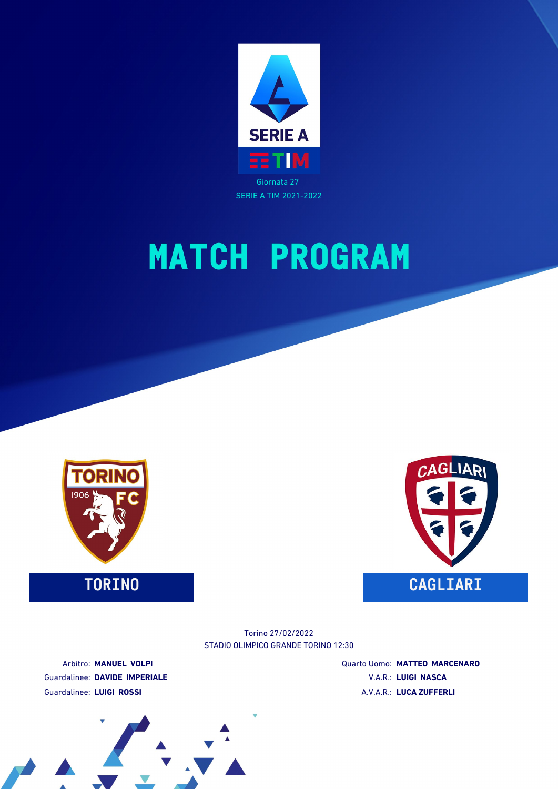





STADIO OLIMPICO GRANDE TORINO 12:30 Torino 27/02/2022

Arbitro: **MANUEL VOLPI** Guardalinee: **DAVIDE IMPERIALE** Guardalinee: **LUIGI ROSSI**

Quarto Uomo: **MATTEO MARCENARO** V.A.R.: **LUIGI NASCA** A.V.A.R.: **LUCA ZUFFERLI**

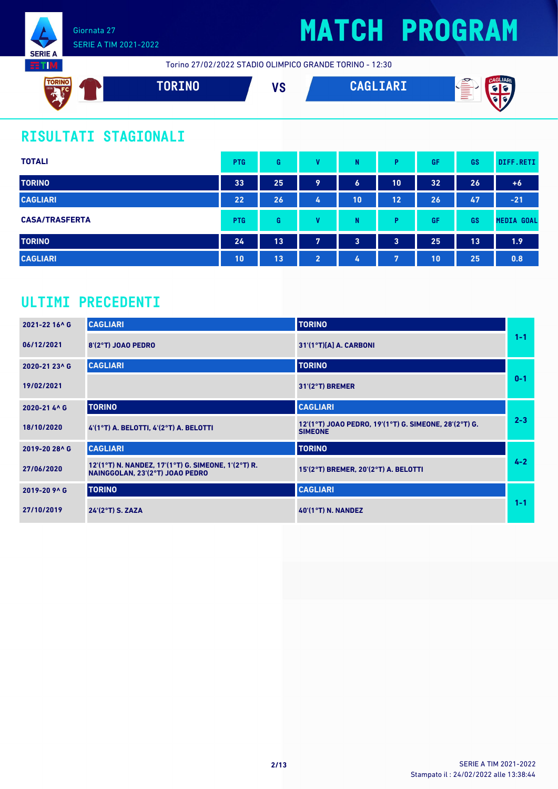

# **MATCH PROGRAM**

Torino 27/02/2022 STADIO OLIMPICO GRANDE TORINO - 12:30



### **RISULTATI STAGIONALI**

| <b>TOTALI</b>         | <b>PTG</b> | G  | v              | N              | Þ                       | GF | GS | DIFF.RETI         |
|-----------------------|------------|----|----------------|----------------|-------------------------|----|----|-------------------|
| <b>TORINO</b>         | 33         | 25 | 9              | 6              | 10                      | 32 | 26 | $+6$              |
| <b>CAGLIARI</b>       | 22         | 26 | 4              | 10             | 12                      | 26 | 47 | $-21$             |
| <b>CASA/TRASFERTA</b> | <b>PTG</b> | G  | v              | N              | D                       | GF | GS | <b>MEDIA GOAL</b> |
| <b>TORINO</b>         | 24         | 13 | 7              | $\overline{3}$ | $\overline{\mathbf{3}}$ | 25 | 13 | 1.9               |
| <b>CAGLIARI</b>       | 10         | 13 | $\overline{2}$ | 4              | 7                       | 10 | 25 | 0.8               |

### **ULTIMI PRECEDENTI**

| 2021-22 16^ G | <b>CAGLIARI</b>                                                                        | <b>TORINO</b>                                                           |         |
|---------------|----------------------------------------------------------------------------------------|-------------------------------------------------------------------------|---------|
| 06/12/2021    | 8'(2°T) JOAO PEDRO                                                                     | $31'(1°T)[A]$ A. CARBONI                                                | $1 - 1$ |
| 2020-21 23^ G | <b>CAGLIARI</b>                                                                        | <b>TORINO</b>                                                           |         |
| 19/02/2021    |                                                                                        | $31'(2°T)$ BREMER                                                       | $0 - 1$ |
| 2020-21 4^ G  | <b>TORINO</b>                                                                          | <b>CAGLIARI</b>                                                         |         |
| 18/10/2020    | 4'(1°T) A. BELOTTI, 4'(2°T) A. BELOTTI                                                 | 12'(1°T) JOAO PEDRO, 19'(1°T) G. SIMEONE, 28'(2°T) G.<br><b>SIMEONE</b> | $2 - 3$ |
| 2019-20 28^ G | <b>CAGLIARI</b>                                                                        | <b>TORINO</b>                                                           |         |
| 27/06/2020    | 12'(1°T) N. NANDEZ, 17'(1°T) G. SIMEONE, 1'(2°T) R.<br>NAINGGOLAN, 23'(2°T) JOAO PEDRO | 15'(2°T) BREMER, 20'(2°T) A. BELOTTI                                    | $4 - 2$ |
| 2019-20 9^ G  | <b>TORINO</b>                                                                          | <b>CAGLIARI</b>                                                         |         |
| 27/10/2019    | 24'(2°T) S. ZAZA                                                                       | <b>40'(1°T) N. NANDEZ</b>                                               | $1 - 1$ |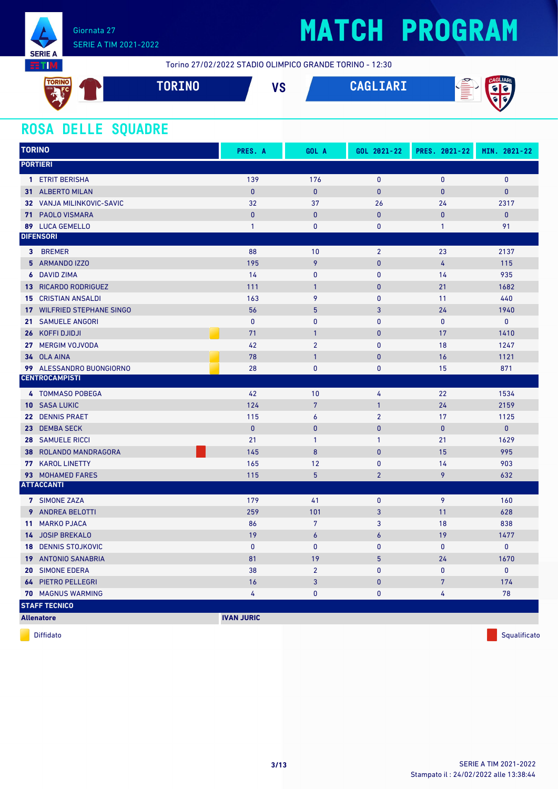

# **MATCH PROGRAM**

Torino 27/02/2022 STADIO OLIMPICO GRANDE TORINO - 12:30



#### **ROSA DELLE SQUADRE**

| <b>TORINO</b>                         | PRES. A           | GOL A            | GOL 2021-22    | PRES. 2021-22   | MIN. 2021-22 |
|---------------------------------------|-------------------|------------------|----------------|-----------------|--------------|
| <b>PORTIERI</b>                       |                   |                  |                |                 |              |
| 1 ETRIT BERISHA                       | 139               | 176              | $\mathbf 0$    | $\pmb{0}$       | $\mathbf{0}$ |
| 31 ALBERTO MILAN                      | $\mathbf{0}$      | $\mathbf{0}$     | $\mathbf{0}$   | $\mathbf{0}$    | $\mathbf{0}$ |
| 32 VANJA MILINKOVIC-SAVIC             | 32                | 37               | 26             | 24              | 2317         |
| 71 PAOLO VISMARA                      | $\mathbf{0}$      | $\mathbf{0}$     | $\mathbf{0}$   | $\overline{0}$  | $\mathbf{0}$ |
| 89 LUCA GEMELLO                       | $\mathbf{1}$      | $\mathbf{0}$     | 0              | $\mathbf{1}$    | 91           |
| <b>DIFENSORI</b>                      |                   |                  |                |                 |              |
| 3 BREMER                              | 88                | 10               | $\overline{2}$ | 23              | 2137         |
| 5 ARMANDO IZZO                        | 195               | 9                | $\pmb{0}$      | $\overline{4}$  | 115          |
| <b>6</b> DAVID ZIMA                   | 14                | $\mathbf 0$      | $\pmb{0}$      | 14              | 935          |
| <b>13 RICARDO RODRIGUEZ</b>           | 111               | $\overline{1}$   | $\pmb{0}$      | 21              | 1682         |
| <b>15 CRISTIAN ANSALDI</b>            | 163               | 9                | 0              | 11              | 440          |
| <b>17 WILFRIED STEPHANE SINGO</b>     | 56                | 5                | 3              | 24              | 1940         |
| 21 SAMUELE ANGORI                     | $\mathbf{0}$      | $\mathbf{0}$     | $\mathbf{0}$   | $\mathbf{0}$    | $\mathbf{0}$ |
| 26 KOFFI DJIDJI                       | 71                | $\mathbf{1}$     | $\mathbf{0}$   | 17              | 1410         |
| 27 MERGIM VOJVODA                     | 42                | $\overline{2}$   | 0              | 18              | 1247         |
| 34 OLA AINA                           | 78                | $\mathbf{1}$     | $\pmb{0}$      | 16              | 1121         |
| 99 ALESSANDRO BUONGIORNO              | 28                | $\mathbf{0}$     | $\mathbf{0}$   | 15              | 871          |
| <b>CENTROCAMPISTI</b>                 |                   |                  |                |                 |              |
| 4 TOMMASO POBEGA                      | 42                | 10               | 4              | 22              | 1534         |
| <b>10 SASA LUKIC</b>                  | 124               | $\overline{7}$   | $\mathbf{1}$   | 24              | 2159         |
| 22 DENNIS PRAET                       | 115               | $\boldsymbol{6}$ | $\overline{2}$ | 17              | 1125         |
| 23 DEMBA SECK                         | $\pmb{0}$         | $\mathbf{0}$     | $\pmb{0}$      | $\bf{0}$        | $\mathbf{0}$ |
| <b>28 SAMUELE RICCI</b>               | 21                | $\mathbf{1}$     | $\mathbf{1}$   | 21              | 1629         |
| <b>38 ROLANDO MANDRAGORA</b>          | 145               | 8                | $\mathbf{0}$   | 15              | 995          |
| 77 KAROL LINETTY                      | 165               | 12               | $\pmb{0}$      | 14              | 903          |
| 93 MOHAMED FARES                      | 115               | $5\overline{5}$  | $\overline{2}$ | 9               | 632          |
| <b>ATTACCANTI</b>                     |                   |                  |                |                 |              |
| 7 SIMONE ZAZA                         | 179               | 41               | $\mathbf 0$    | 9               | 160          |
| <b>9</b> ANDREA BELOTTI               | 259               | 101              | 3              | 11              | 628          |
| <b>MARKO PJACA</b><br>11 <sup>1</sup> | 86                | $7\phantom{.}$   | 3              | 18              | 838          |
| 14 JOSIP BREKALO                      | 19                | $\epsilon$       | 6              | 19              | 1477         |
| <b>18 DENNIS STOJKOVIC</b>            | $\mathbf{0}$      | $\mathbf{0}$     | $\mathbf{0}$   | $\mathbf{0}$    | $\mathbf 0$  |
| 19 ANTONIO SANABRIA                   | 81                | 19               | $5\phantom{.}$ | 24              | 1670         |
| 20 SIMONE EDERA                       | 38                | $\overline{2}$   | 0              | $\mathbf{0}$    | $\mathbf{0}$ |
| <b>64 PIETRO PELLEGRI</b>             | 16                | $\overline{3}$   | $\pmb{0}$      | $7\overline{ }$ | 174          |
| 70 MAGNUS WARMING                     | 4                 | $\mathbf 0$      | 0              | 4               | 78           |
| <b>STAFF TECNICO</b>                  |                   |                  |                |                 |              |
| <b>Allenatore</b>                     | <b>IVAN JURIC</b> |                  |                |                 |              |

diffidato de la contradictivitativa de la contradictivitativa de la contradictivitativa de la contradictivitativ<br>Diffidato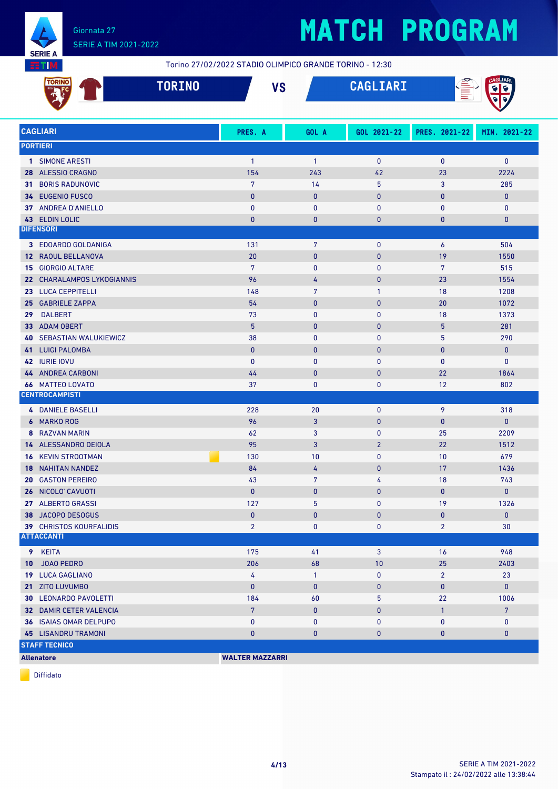

# **MATCH PROGRAM**

Torino 27/02/2022 STADIO OLIMPICO GRANDE TORINO - 12:30

|                 | <b>TORINO</b>                                       | <b>TORINO</b> |                        | <b>VS</b> |                | CAGLIARI       |                |                |
|-----------------|-----------------------------------------------------|---------------|------------------------|-----------|----------------|----------------|----------------|----------------|
|                 | <b>CAGLIARI</b>                                     |               | PRES. A                |           | GOL A          | GOL 2021-22    | PRES. 2021-22  | MIN. 2021-22   |
|                 | <b>PORTIERI</b>                                     |               |                        |           |                |                |                |                |
|                 | 1 SIMONE ARESTI                                     |               | $\overline{1}$         |           | $\mathbf{1}$   | $\mathbf 0$    | $\pmb{0}$      | $\mathbf 0$    |
|                 | 28 ALESSIO CRAGNO                                   |               | 154                    |           | 243            | 42             | 23             | 2224           |
| 31              | <b>BORIS RADUNOVIC</b>                              |               | $\overline{7}$         |           | 14             | 5              | 3              | 285            |
|                 | 34 EUGENIO FUSCO                                    |               | $\mathbf{0}$           |           | $\pmb{0}$      | $\pmb{0}$      | 0              | $\mathbf{0}$   |
|                 | 37 ANDREA D'ANIELLO                                 |               | $\mathbf{0}$           |           | $\bf{0}$       | $\mathbf{0}$   | 0              | $\mathbf 0$    |
|                 | 43 ELDIN LOLIC                                      |               | $\mathbf{0}$           |           | $\bf{0}$       | $\mathbf{0}$   | 0              | $\pmb{0}$      |
|                 | <b>DIFENSORI</b>                                    |               |                        |           |                |                |                |                |
|                 | 3 EDOARDO GOLDANIGA                                 |               | 131                    |           | 7              | $\mathbf 0$    | 6              | 504            |
| 12 <sup>7</sup> | RAOUL BELLANOVA                                     |               | 20                     |           | $\pmb{0}$      | $\pmb{0}$      | 19             | 1550           |
|                 | <b>15 GIORGIO ALTARE</b>                            |               | $\overline{7}$         |           | $\bf{0}$       | $\mathbf 0$    | $\overline{7}$ | 515            |
|                 | 22 CHARALAMPOS LYKOGIANNIS                          |               | 96                     |           | 4              | $\mathbf{0}$   | 23             | 1554           |
|                 | 23 LUCA CEPPITELLI                                  |               | 148                    |           | $\overline{7}$ | $\mathbf{1}$   | 18             | 1208           |
|                 | 25 GABRIELE ZAPPA                                   |               | 54                     |           | $\pmb{0}$      | $\pmb{0}$      | 20             | 1072           |
| 29              | <b>DALBERT</b>                                      |               | 73                     |           | $\mathbf{0}$   | $\mathbf{0}$   | 18             | 1373           |
|                 | 33 ADAM OBERT                                       |               | 5                      |           | $\mathbf{0}$   | $\mathbf{0}$   | 5              | 281            |
|                 | <b>40 SEBASTIAN WALUKIEWICZ</b>                     |               | 38                     |           | $\pmb{0}$      | $\mathbf{0}$   | 5              | 290            |
| 41              | <b>LUIGI PALOMBA</b>                                |               | $\mathbf{0}$           |           | $\mathbf{0}$   | $\mathbf{0}$   | 0              | $\mathbf{0}$   |
|                 | 42 IURIE IOVU                                       |               | $\mathbf{0}$           |           | $\mathbf{0}$   | $\mathbf{0}$   | $\mathbf{0}$   | $\mathbf 0$    |
|                 | <b>44 ANDREA CARBONI</b>                            |               | 44                     |           | $\pmb{0}$      | $\mathbf{0}$   | 22             | 1864           |
|                 | <b>66 MATTEO LOVATO</b>                             |               | 37                     |           | $\bf{0}$       | $\mathbf 0$    | 12             | 802            |
|                 | <b>CENTROCAMPISTI</b>                               |               |                        |           |                |                |                |                |
|                 | <b>4 DANIELE BASELLI</b>                            |               | 228                    |           | 20             | $\pmb{0}$      | 9              | 318            |
|                 | 6 MARKO ROG                                         |               | 96                     |           | 3              | $\mathbf{0}$   | 0              | $\mathbf{0}$   |
|                 | 8 RAZVAN MARIN                                      |               | 62                     |           | 3              | $\mathbf{0}$   | 25             | 2209           |
|                 | 14 ALESSANDRO DEIOLA                                |               | 95                     |           | 3              | $\overline{2}$ | 22             | 1512           |
|                 | <b>16 KEVIN STROOTMAN</b>                           |               | 130                    |           | 10             | $\mathbf 0$    | 10             | 679            |
| 18.             | <b>NAHITAN NANDEZ</b>                               |               | 84                     |           | 4              | $\mathbf{0}$   | 17             | 1436           |
|                 | <b>20 GASTON PEREIRO</b>                            |               | 43                     |           | 7              | 4              | 18             | 743            |
|                 | 26 NICOLO' CAVUOTI                                  |               | $\mathbf{0}$           |           | $\mathbf{0}$   | $\mathbf{0}$   | $\overline{0}$ | $\mathbf{0}$   |
|                 | 27 ALBERTO GRASSI                                   |               | 127                    |           | 5              | $\mathbf 0$    | 19             | 1326           |
|                 | 38 JACOPO DESOGUS                                   |               | $\mathbf{0}$           |           | $\pmb{0}$      | $\pmb{0}$      | 0              | $\mathbf 0$    |
|                 | <b>39 CHRISTOS KOURFALIDIS</b><br><b>ATTACCANTI</b> |               | $\overline{2}$         |           | 0              | 0              | $\overline{2}$ | 30             |
|                 |                                                     |               |                        |           |                |                |                |                |
|                 | 9 KEITA                                             |               | 175                    |           | 41             | 3              | 16             | 948            |
| 10              | <b>JOAO PEDRO</b>                                   |               | 206                    |           | 68             | 10             | 25             | 2403           |
|                 | 19 LUCA GAGLIANO                                    |               | 4                      |           | $\mathbf{1}$   | $\mathbf 0$    | $\overline{2}$ | 23             |
|                 | 21 ZITO LUVUMBO                                     |               | $\bf{0}$               |           | $\pmb{0}$      | $\bf{0}$       | 0              | $\mathbf 0$    |
|                 | <b>30 LEONARDO PAVOLETTI</b>                        |               | 184                    |           | 60             | 5              | 22             | 1006           |
|                 | 32 DAMIR CETER VALENCIA                             |               | $7\phantom{.}$         |           | $\pmb{0}$      | $\bf{0}$       | $\mathbf{1}$   | $\overline{7}$ |
|                 | 36 ISAIAS OMAR DELPUPO                              |               | 0                      |           | $\pmb{0}$      | 0              | 0              | 0              |
|                 | <b>45 LISANDRU TRAMONI</b>                          |               | $\bf{0}$               |           | $\mathbf{0}$   | $\bf{0}$       | 0              | $\mathbf 0$    |
|                 | <b>STAFF TECNICO</b>                                |               |                        |           |                |                |                |                |
|                 | <b>Allenatore</b>                                   |               | <b>WALTER MAZZARRI</b> |           |                |                |                |                |

Diffidato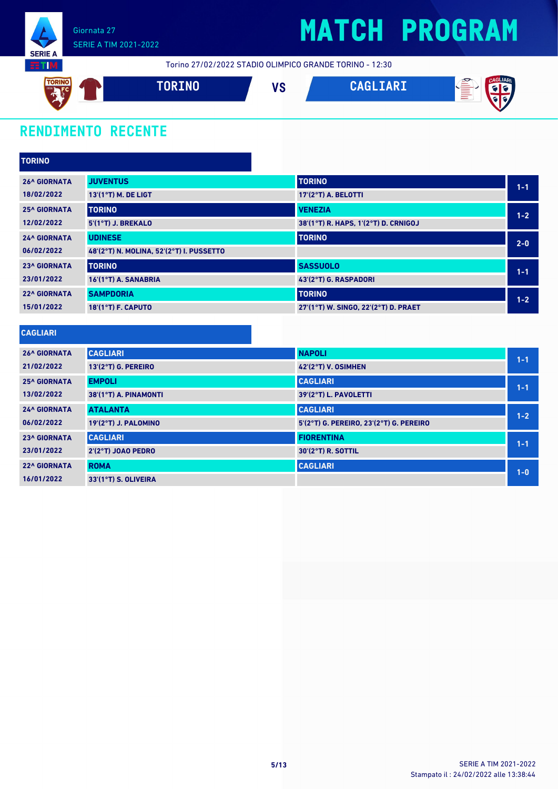

Torino 27/02/2022 STADIO OLIMPICO GRANDE TORINO - 12:30



### **RENDIMENTO RECENTE**

| <b>TORINO</b>       |                                          |                                                     |         |
|---------------------|------------------------------------------|-----------------------------------------------------|---------|
| <b>26^ GIORNATA</b> | <b>JUVENTUS</b>                          | <b>TORINO</b>                                       | $1 - 1$ |
| 18/02/2022          | 13'(1°T) M. DE LIGT                      | 17'(2°T) A. BELOTTI                                 |         |
| <b>25^ GIORNATA</b> | <b>TORINO</b>                            | <b>VENEZIA</b>                                      | $1-2$   |
| 12/02/2022          | 5'(1°T) J. BREKALO                       | 38'(1°T) R. HAPS, 1'(2°T) D. CRNIGOJ                |         |
| <b>24^ GIORNATA</b> | <b>UDINESE</b>                           | <b>TORINO</b>                                       | $2 - 0$ |
| 06/02/2022          | 48'(2°T) N. MOLINA, 52'(2°T) I. PUSSETTO |                                                     |         |
| <b>23^ GIORNATA</b> | <b>TORINO</b>                            | <b>SASSUOLO</b>                                     | $1 - 1$ |
| 23/01/2022          | 16'(1°T) A. SANABRIA                     | 43'(2°T) G. RASPADORI                               |         |
| <b>22^ GIORNATA</b> | <b>SAMPDORIA</b>                         | <b>TORINO</b>                                       | $1 - 2$ |
| 15/01/2022          | <b>18'(1°T) F. CAPUTO</b>                | 27'(1°T) W. SINGO, 22'(2°T) D. PRAET                |         |
|                     |                                          |                                                     |         |
| <b>CAGLIARI</b>     |                                          |                                                     |         |
| <b>26^ GIORNATA</b> | <b>CAGLIARI</b>                          | <b>NAPOLI</b>                                       | $1 - 1$ |
| 011001000           |                                          | $\mathbf{r}$ and a set of the state of $\mathbf{r}$ |         |

|                     |                       |                                         | $1 - 1$ |
|---------------------|-----------------------|-----------------------------------------|---------|
| 21/02/2022          | 13'(2°T) G. PEREIRO   | 42'(2°T) V. OSIMHEN                     |         |
| <b>25^ GIORNATA</b> | <b>EMPOLI</b>         | <b>CAGLIARI</b>                         | $1 - 1$ |
| 13/02/2022          | 38'(1°T) A. PINAMONTI | 39'(2°T) L. PAVOLETTI                   |         |
| <b>24^ GIORNATA</b> | <b>ATALANTA</b>       | <b>CAGLIARI</b>                         | $1 - 2$ |
| 06/02/2022          | 19'(2°T) J. PALOMINO  | 5'(2°T) G. PEREIRO, 23'(2°T) G. PEREIRO |         |
| <b>23^ GIORNATA</b> | <b>CAGLIARI</b>       | <b>FIORENTINA</b>                       | $1 - 1$ |
| 23/01/2022          | $2'(2°T)$ JOAO PEDRO  | 30'(2°T) R. SOTTIL                      |         |
| <b>22^ GIORNATA</b> | <b>ROMA</b>           | <b>CAGLIARI</b>                         | $1 - 0$ |
| 16/01/2022          | 33'(1°T) S. OLIVEIRA  |                                         |         |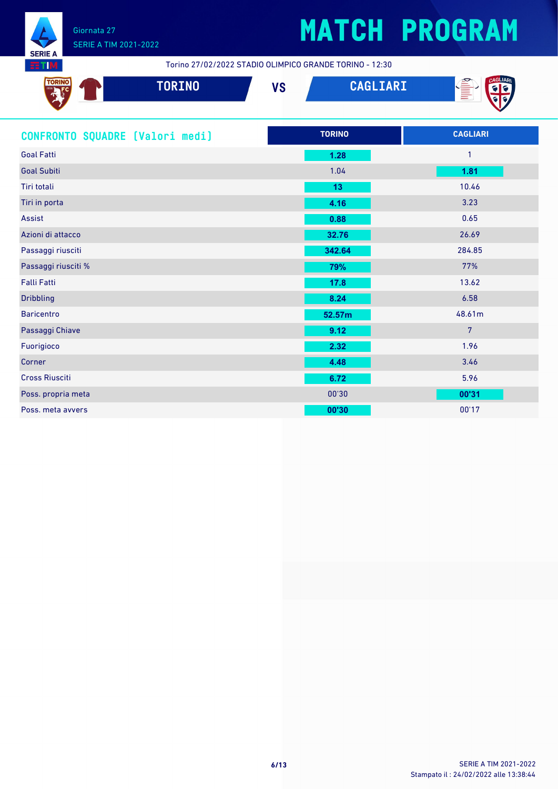

Torino 27/02/2022 STADIO OLIMPICO GRANDE TORINO - 12:30

| <b>TORING</b> | TORINO | VÕ<br>ve | $01$ TADT<br>$\sqrt{2}$ | ☎<br>e e de la contrada de la contrada de la contrada de la contrada de la contrada de la contrada de la contrada d<br>De la contrada de la contrada de la contrada de la contrada de la contrada de la contrada de la contrada de la |
|---------------|--------|----------|-------------------------|---------------------------------------------------------------------------------------------------------------------------------------------------------------------------------------------------------------------------------------|
|               |        |          |                         |                                                                                                                                                                                                                                       |

| CONFRONTO SQUADRE [Valori medi] | <b>TORINO</b> | <b>CAGLIARI</b> |
|---------------------------------|---------------|-----------------|
| <b>Goal Fatti</b>               | 1.28          | 1               |
| <b>Goal Subiti</b>              | 1.04          | 1.81            |
| Tiri totali                     | 13            | 10.46           |
| Tiri in porta                   | 4.16          | 3.23            |
| Assist                          | 0.88          | 0.65            |
| Azioni di attacco               | 32.76         | 26.69           |
| Passaggi riusciti               | 342.64        | 284.85          |
| Passaggi riusciti %             | 79%           | 77%             |
| <b>Falli Fatti</b>              | 17.8          | 13.62           |
| <b>Dribbling</b>                | 8.24          | 6.58            |
| <b>Baricentro</b>               | 52.57m        | 48.61m          |
| Passaggi Chiave                 | 9.12          | $\overline{7}$  |
| Fuorigioco                      | 2.32          | 1.96            |
| Corner                          | 4.48          | 3.46            |
| <b>Cross Riusciti</b>           | 6.72          | 5.96            |
| Poss. propria meta              | 00'30         | 00'31           |
| Poss, meta avvers               | 00'30         | 00'17           |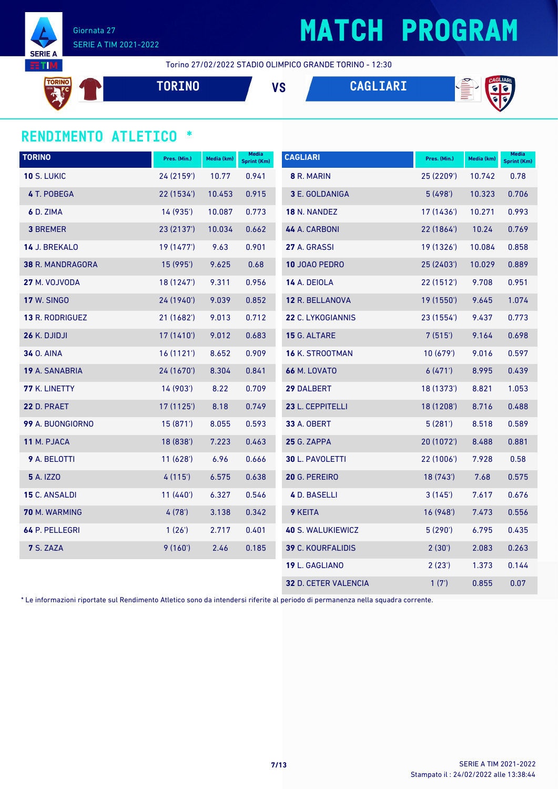

### **MATCH PROGRAM**

Torino 27/02/2022 STADIO OLIMPICO GRANDE TORINO - 12:30

**TORII TORINO VS CAGLIARI**

#### **RENDIMENTO ATLETICO \***

| <b>TORINO</b>      | Pres. (Min.) | Media (km) | Media<br><b>Sprint (Km)</b> | <b>CAGLIARI</b>             | Pres. (Min.) | Media (km) | <b>Media</b><br>Sprint (Km) |
|--------------------|--------------|------------|-----------------------------|-----------------------------|--------------|------------|-----------------------------|
| <b>10 S. LUKIC</b> | 24 (2159')   | 10.77      | 0.941                       | 8 R. MARIN                  | 25 (2209')   | 10.742     | 0.78                        |
| 4 T. POBEGA        | 22 (1534)    | 10.453     | 0.915                       | 3 E. GOLDANIGA              | 5(498)       | 10.323     | 0.706                       |
| 6 D. ZIMA          | 14 (935')    | 10.087     | 0.773                       | 18 N. NANDEZ                | 17(1436)     | 10.271     | 0.993                       |
| <b>3 BREMER</b>    | 23 (2137')   | 10.034     | 0.662                       | 44 A. CARBONI               | 22 (1864')   | 10.24      | 0.769                       |
| 14 J. BREKALO      | 19 (1477')   | 9.63       | 0.901                       | 27 A. GRASSI                | 19 (1326')   | 10.084     | 0.858                       |
| 38 R. MANDRAGORA   | 15 (995')    | 9.625      | 0.68                        | 10 JOAO PEDRO               | 25 (2403')   | 10.029     | 0.889                       |
| 27 M. VOJVODA      | 18 (1247')   | 9.311      | 0.956                       | 14 A. DEIOLA                | 22(1512)     | 9.708      | 0.951                       |
| <b>17 W. SINGO</b> | 24 (1940')   | 9.039      | 0.852                       | 12 R. BELLANOVA             | 19 (1550')   | 9.645      | 1.074                       |
| 13 R. RODRIGUEZ    | 21 (1682')   | 9.013      | 0.712                       | 22 C. LYKOGIANNIS           | 23 (1554')   | 9.437      | 0.773                       |
| 26 K. DJIDJI       | 17 (1410')   | 9.012      | 0.683                       | 15 G. ALTARE                | 7(515)       | 9.164      | 0.698                       |
| <b>34 O. AINA</b>  | 16(1121)     | 8.652      | 0.909                       | 16 K. STROOTMAN             | 10(679)      | 9.016      | 0.597                       |
| 19 A. SANABRIA     | 24 (1670')   | 8.304      | 0.841                       | <b>66 M. LOVATO</b>         | 6(471)       | 8.995      | 0.439                       |
| 77 K. LINETTY      | 14 (903')    | 8.22       | 0.709                       | 29 DALBERT                  | 18 (1373')   | 8.821      | 1.053                       |
| 22 D. PRAET        | 17 (1125')   | 8.18       | 0.749                       | 23 L. CEPPITELLI            | 18 (1208')   | 8.716      | 0.488                       |
| 99 A. BUONGIORNO   | 15(871)      | 8.055      | 0.593                       | <b>33 A. OBERT</b>          | 5(281)       | 8.518      | 0.589                       |
| 11 M. PJACA        | 18 (838')    | 7.223      | 0.463                       | 25 G. ZAPPA                 | 20 (1072')   | 8.488      | 0.881                       |
| 9 A. BELOTTI       | 11(628)      | 6.96       | 0.666                       | 30 L. PAVOLETTI             | 22(1006)     | 7.928      | 0.58                        |
| <b>5</b> A. IZZO   | 4(115)       | 6.575      | 0.638                       | 20 G. PEREIRO               | 18 (743')    | 7.68       | 0.575                       |
| 15 C. ANSALDI      | 11(440)      | 6.327      | 0.546                       | 4 D. BASELLI                | 3(145)       | 7.617      | 0.676                       |
| 70 M. WARMING      | 4(78)        | 3.138      | 0.342                       | 9 KEITA                     | 16 (948')    | 7.473      | 0.556                       |
| 64 P. PELLEGRI     | 1(26)        | 2.717      | 0.401                       | 40 S. WALUKIEWICZ           | 5(290)       | 6.795      | 0.435                       |
| 7 S. ZAZA          | 9(160)       | 2.46       | 0.185                       | 39 C. KOURFALIDIS           | 2(30')       | 2.083      | 0.263                       |
|                    |              |            |                             | 19 L. GAGLIANO              | 2(23')       | 1.373      | 0.144                       |
|                    |              |            |                             | <b>32 D. CETER VALENCIA</b> | 1(7)         | 0.855      | 0.07                        |

\* Le informazioni riportate sul Rendimento Atletico sono da intendersi riferite al periodo di permanenza nella squadra corrente.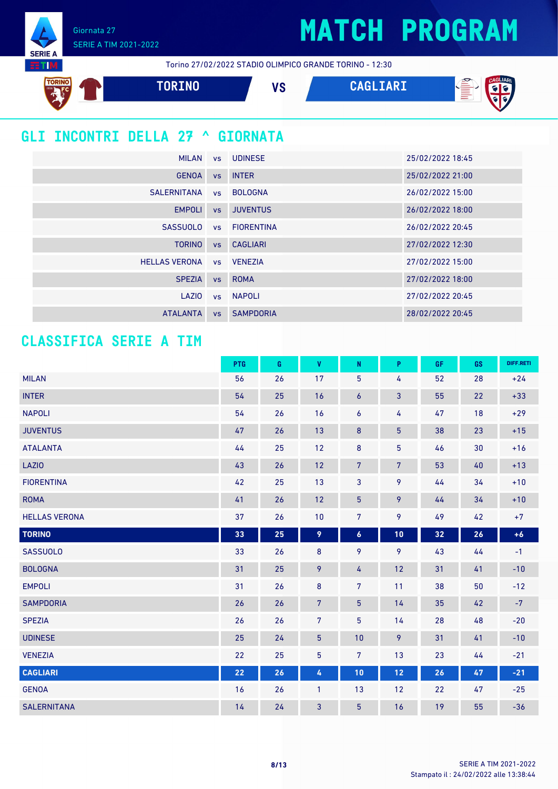Giornata 27 SERIE A TIM 2021-2022

**SERIE A HTM** 

Torino 27/02/2022 STADIO OLIMPICO GRANDE TORINO - 12:30



### **GLI INCONTRI DELLA 27 ^ GIORNATA**

|                      |           | MILAN vs UDINESE | 25/02/2022 18:45 |
|----------------------|-----------|------------------|------------------|
| <b>GENOA</b>         |           | vs INTER         | 25/02/2022 21:00 |
| <b>SALERNITANA</b>   | <b>VS</b> | <b>BOLOGNA</b>   | 26/02/2022 15:00 |
| <b>EMPOLI</b>        | VS        | <b>JUVENTUS</b>  | 26/02/2022 18:00 |
| <b>SASSUOLO</b>      |           | vs FIORENTINA    | 26/02/2022 20:45 |
| <b>TORINO</b>        | VS        | <b>CAGLIARI</b>  | 27/02/2022 12:30 |
| <b>HELLAS VERONA</b> |           | vs VENEZIA       | 27/02/2022 15:00 |
| <b>SPEZIA</b>        | <b>VS</b> | <b>ROMA</b>      | 27/02/2022 18:00 |
| LAZIO                |           | vs NAPOLI        | 27/02/2022 20:45 |
| <b>ATALANTA</b>      | <b>VS</b> | <b>SAMPDORIA</b> | 28/02/2022 20:45 |

#### **CLASSIFICA SERIE A TIM**

|                      | <b>PTG</b> | G  | $\mathbf{V}$   | ${\sf N}$        | P              | GF | GS | DIFF.RETI |
|----------------------|------------|----|----------------|------------------|----------------|----|----|-----------|
| <b>MILAN</b>         | 56         | 26 | 17             | 5                | 4              | 52 | 28 | $+24$     |
| <b>INTER</b>         | 54         | 25 | 16             | $\boldsymbol{6}$ | $\mathbf{3}$   | 55 | 22 | $+33$     |
| <b>NAPOLI</b>        | 54         | 26 | 16             | 6                | 4              | 47 | 18 | $+29$     |
| <b>JUVENTUS</b>      | 47         | 26 | 13             | $\bf 8$          | $\overline{5}$ | 38 | 23 | $+15$     |
| <b>ATALANTA</b>      | 44         | 25 | 12             | $\bf 8$          | $\overline{5}$ | 46 | 30 | $+16$     |
| LAZIO                | 43         | 26 | 12             | $\overline{7}$   | $\overline{7}$ | 53 | 40 | $+13$     |
| <b>FIORENTINA</b>    | 42         | 25 | 13             | 3                | 9              | 44 | 34 | $+10$     |
| <b>ROMA</b>          | 41         | 26 | 12             | 5                | 9              | 44 | 34 | $+10$     |
| <b>HELLAS VERONA</b> | 37         | 26 | 10             | $\overline{7}$   | 9              | 49 | 42 | $+7$      |
| <b>TORINO</b>        | 33         | 25 | 9              | $\pmb{6}$        | 10             | 32 | 26 | $+6$      |
| <b>SASSUOLO</b>      | 33         | 26 | 8              | 9                | 9              | 43 | 44 | $-1$      |
| <b>BOLOGNA</b>       | 31         | 25 | 9              | 4                | 12             | 31 | 41 | $-10$     |
| <b>EMPOLI</b>        | 31         | 26 | $\bf 8$        | $\overline{7}$   | 11             | 38 | 50 | $-12$     |
| <b>SAMPDORIA</b>     | 26         | 26 | $\overline{7}$ | 5                | 14             | 35 | 42 | $-7$      |
| <b>SPEZIA</b>        | 26         | 26 | $\overline{7}$ | 5                | 14             | 28 | 48 | $-20$     |
| <b>UDINESE</b>       | 25         | 24 | $\overline{5}$ | 10               | 9              | 31 | 41 | $-10$     |
| <b>VENEZIA</b>       | 22         | 25 | 5              | 7                | 13             | 23 | 44 | $-21$     |
| <b>CAGLIARI</b>      | 22         | 26 | 4              | 10               | 12             | 26 | 47 | $-21$     |
| <b>GENOA</b>         | 16         | 26 | $\mathbf{1}$   | 13               | 12             | 22 | 47 | $-25$     |
| <b>SALERNITANA</b>   | 14         | 24 | 3              | 5                | 16             | 19 | 55 | $-36$     |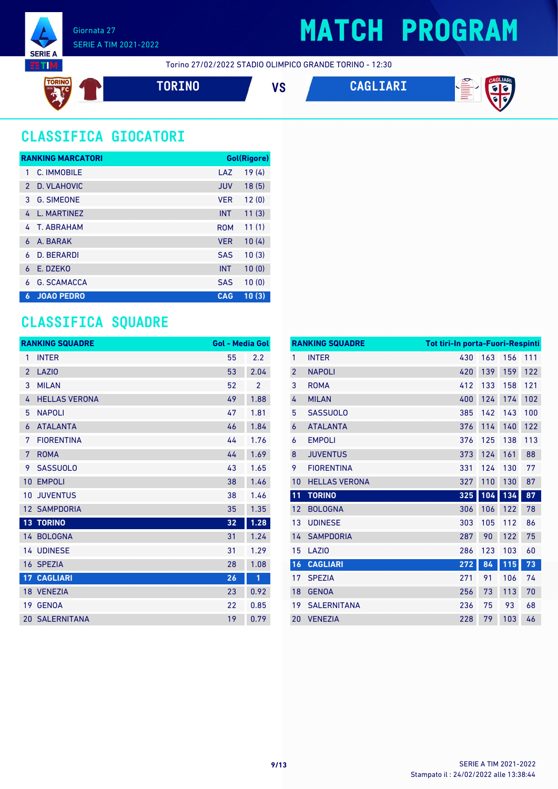

Torino 27/02/2022 STADIO OLIMPICO GRANDE TORINO - 12:30

**TORINO VS CAGLIARI**



### **CLASSIFICA GIOCATORI**

|               | <b>RANKING MARCATORI</b> |            | Gol(Rigore) |
|---------------|--------------------------|------------|-------------|
| 1             | C. IMMOBILE              | LAZ        | 19(4)       |
| $\mathcal{P}$ | D. VLAHOVIC              | <b>JUV</b> | 18(5)       |
| 3             | <b>G. SIMEONE</b>        | <b>VER</b> | 12(0)       |
| 4             | <b>I. MARTINF7</b>       | <b>INT</b> | 11(3)       |
| 4             | T. ABRAHAM               | <b>ROM</b> | 11(1)       |
| 6             | A. BARAK                 | <b>VER</b> | 10(4)       |
| 6             | <b>D. BERARDI</b>        | <b>SAS</b> | 10(3)       |
| 6             | E. DZEKO                 | <b>INT</b> | 10(0)       |
| 6             | <b>G. SCAMACCA</b>       | <b>SAS</b> | 10(0)       |
| 6             | <b>JOAO PEDRO</b>        | <b>CAG</b> | 10(3)       |

#### **CLASSIFICA SQUADRE**

|                 | <b>RANKING SQUADRE</b> | <b>Gol - Media Gol</b> |                |
|-----------------|------------------------|------------------------|----------------|
| 1               | <b>INTER</b>           | 55                     | 2.2            |
| $\overline{2}$  | LAZI <sub>0</sub>      | 53                     | 2.04           |
| 3               | <b>MILAN</b>           | 52                     | $\overline{2}$ |
| 4               | <b>HELLAS VERONA</b>   | 49                     | 1.88           |
| 5               | <b>NAPOLI</b>          | 47                     | 1.81           |
| 6               | <b>ATALANTA</b>        | 46                     | 1.84           |
| 7               | <b>FIORENTINA</b>      | 44                     | 1.76           |
| 7               | <b>ROMA</b>            | 44                     | 1.69           |
| 9               | <b>SASSUOLO</b>        | 43                     | 1.65           |
| 10              | <b>EMPOLI</b>          | 38                     | 1.46           |
| 10              | <b>JUVENTUS</b>        | 38                     | 1.46           |
| 12 <sup>2</sup> | <b>SAMPDORIA</b>       | 35                     | 1.35           |
|                 | <b>13 TORINO</b>       | 32                     | 1.28           |
|                 | 14 BOLOGNA             | 31                     | 1.24           |
|                 | <b>14 UDINESE</b>      | 31                     | 1.29           |
| 16              | <b>SPEZIA</b>          | 28                     | 1.08           |
| $\overline{17}$ | <b>CAGLIARI</b>        | 26                     | 1              |
|                 | 18 VENEZIA             | 23                     | 0.92           |
|                 | 19 GENOA               | 22                     | 0.85           |
|                 | <b>20 SALERNITANA</b>  | 19                     | 0.79           |

|                | <b>RANKING SQUADRE</b> | <b>Tot tiri-In porta-Fuori-Respinti</b> |     |     |     |
|----------------|------------------------|-----------------------------------------|-----|-----|-----|
| $\mathbf{1}$   | <b>INTER</b>           | 430                                     | 163 | 156 | 111 |
| $\overline{2}$ | <b>NAPOLI</b>          | 420                                     | 139 | 159 | 122 |
| 3              | <b>ROMA</b>            | 412                                     | 133 | 158 | 121 |
| 4              | <b>MILAN</b>           | 400                                     | 124 | 174 | 102 |
| 5              | <b>SASSUOLO</b>        | 385                                     | 142 | 143 | 100 |
| 6              | <b>ATALANTA</b>        | 376                                     | 114 | 140 | 122 |
| 6              | <b>EMPOLI</b>          | 376                                     | 125 | 138 | 113 |
| 8              | <b>JUVENTUS</b>        | 373                                     | 124 | 161 | 88  |
| 9              | <b>FIORENTINA</b>      | 331                                     | 124 | 130 | 77  |
| 10             | <b>HELLAS VERONA</b>   | 327                                     | 110 | 130 | 87  |
| 11             | <b>TORINO</b>          | 325                                     | 104 | 134 | 87  |
| 12             | <b>BOLOGNA</b>         | 306                                     | 106 | 122 | 78  |
| 13             | <b>UDINESE</b>         | 303                                     | 105 | 112 | 86  |
| 14             | <b>SAMPDORIA</b>       | 287                                     | 90  | 122 | 75  |
| 15             | <b>LAZIO</b>           | 286                                     | 123 | 103 | 60  |
| 16             | <b>CAGLIARI</b>        | 272                                     | 84  | 115 | 73  |
| 17             | <b>SPEZIA</b>          | 271                                     | 91  | 106 | 74  |
| 18             | <b>GENOA</b>           | 256                                     | 73  | 113 | 70  |
| 19             | <b>SALERNITANA</b>     | 236                                     | 75  | 93  | 68  |
| 20             | <b>VENEZIA</b>         | 228                                     | 79  | 103 | 46  |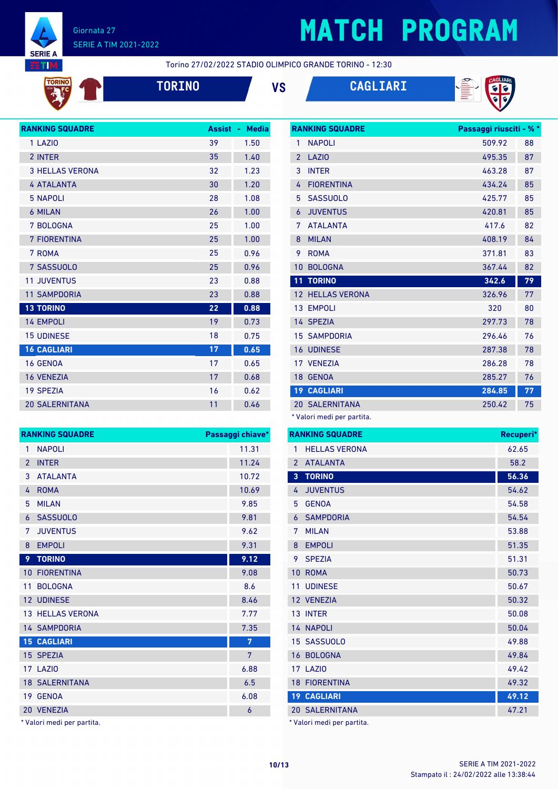

TORINO

#### Giornata 27 SERIE A TIM 2021-2022

# **MATCH PROGRAM**

Torino 27/02/2022 STADIO OLIMPICO GRANDE TORINO - 12:30







| <b>RANKING SQUADRE</b> | <b>Assist</b> | <b>Media</b><br>٠ |
|------------------------|---------------|-------------------|
| 1 LAZIO                | 39            | 1.50              |
| 2 INTER                | 35            | 1.40              |
| <b>3 HELLAS VERONA</b> | 32            | 1.23              |
| <b>4 ATALANTA</b>      | 30            | 1.20              |
| <b>5 NAPOLI</b>        | 28            | 1.08              |
| <b>6 MILAN</b>         | 26            | 1.00              |
| 7 BOLOGNA              | 25            | 1.00              |
| <b>7 FIORENTINA</b>    | 25            | 1.00              |
| 7 ROMA                 | 25            | 0.96              |
| 7 SASSUOLO             | 25            | 0.96              |
| <b>11 JUVENTUS</b>     | 23            | 0.88              |
| <b>11 SAMPDORIA</b>    | 23            | 0.88              |
| <b>13 TORINO</b>       | 22            | 0.88              |
| <b>14 EMPOLI</b>       | 19            | 0.73              |
| <b>15 UDINESE</b>      | 18            | 0.75              |
| <b>16 CAGLIARI</b>     | 17            | 0.65              |
| <b>16 GENOA</b>        | 17            | 0.65              |
| <b>16 VENEZIA</b>      | 17            | 0.68              |
| <b>19 SPEZIA</b>       | 16            | 0.62              |
| <b>20 SALERNITANA</b>  | 11            | 0.46              |
|                        |               |                   |

|                 | <b>RANKING SQUADRE</b><br>Passaggi chiave* |       |  |  |
|-----------------|--------------------------------------------|-------|--|--|
| $\mathbf{1}$    | <b>NAPOLI</b>                              | 11.31 |  |  |
| $\overline{2}$  | <b>INTER</b>                               | 11.24 |  |  |
| 3               | <b>ATALANTA</b>                            | 10.72 |  |  |
| 4               | <b>ROMA</b>                                | 10.69 |  |  |
| 5               | <b>MILAN</b>                               | 9.85  |  |  |
| 6               | <b>SASSUOLO</b>                            | 9.81  |  |  |
| 7               | <b>JUVENTUS</b>                            | 9.62  |  |  |
| 8               | <b>EMPOLI</b>                              | 9.31  |  |  |
| 9               | <b>TORINO</b>                              | 9.12  |  |  |
| $10-1$          | <b>FIORENTINA</b>                          | 9.08  |  |  |
| 11              | <b>BOLOGNA</b>                             | 8.6   |  |  |
|                 | <b>12 UDINESE</b>                          | 8.46  |  |  |
|                 | <b>13 HELLAS VERONA</b>                    | 7.77  |  |  |
|                 | <b>14 SAMPDORIA</b>                        | 7.35  |  |  |
|                 | <b>15 CAGLIARI</b>                         | 7     |  |  |
|                 | 15 SPEZIA                                  | 7     |  |  |
|                 | 17 LAZIO                                   | 6.88  |  |  |
|                 | <b>18 SALERNITANA</b>                      | 6.5   |  |  |
| 19 <sup>°</sup> | <b>GENOA</b>                               | 6.08  |  |  |
|                 | 20 VENEZIA                                 | 6     |  |  |

\* Valori medi per partita.

|                 | <b>RANKING SQUADRE</b> | Passaggi riusciti - % * |    |
|-----------------|------------------------|-------------------------|----|
| 1               | <b>NAPOLI</b>          | 509.92                  | 88 |
| $\overline{2}$  | LAZI <sub>0</sub>      | 495.35                  | 87 |
| 3               | <b>INTER</b>           | 463.28                  | 87 |
| 4               | <b>FIORENTINA</b>      | 434.24                  | 85 |
| 5               | <b>SASSUOLO</b>        | 425.77                  | 85 |
| 6               | <b>JUVENTUS</b>        | 420.81                  | 85 |
| 7               | <b>ATALANTA</b>        | 417.6                   | 82 |
| 8               | <b>MILAN</b>           | 408.19                  | 84 |
| 9               | <b>ROMA</b>            | 371.81                  | 83 |
| 10              | <b>BOLOGNA</b>         | 367.44                  | 82 |
| 11              | <b>TORINO</b>          | 342.6                   | 79 |
| 12              | <b>HELLAS VERONA</b>   | 326.96                  | 77 |
| 13              | <b>EMPOLI</b>          | 320                     | 80 |
|                 | 14 SPEZIA              | 297.73                  | 78 |
|                 | <b>15 SAMPDORIA</b>    | 296.46                  | 76 |
|                 | <b>16 UDINESE</b>      | 287.38                  | 78 |
|                 | 17 VENEZIA             | 286.28                  | 78 |
| 18              | <b>GENOA</b>           | 285.27                  | 76 |
| 19 <sup>°</sup> | <b>CAGLIARI</b>        | 284.85                  | 77 |
|                 |                        |                         |    |
|                 | <b>20 SALERNITANA</b>  | 250.42                  | 75 |

\* Valori medi per partita.

|                | <b>RANKING SQUADRE</b> | Recuperi* |
|----------------|------------------------|-----------|
| 1              | <b>HELLAS VERONA</b>   | 62.65     |
| $\overline{2}$ | <b>ATALANTA</b>        | 58.2      |
| 3              | <b>TORINO</b>          | 56.36     |
| 4              | <b>JUVENTUS</b>        | 54.62     |
| 5              | <b>GENOA</b>           | 54.58     |
| 6              | <b>SAMPDORIA</b>       | 54.54     |
| 7              | <b>MILAN</b>           | 53.88     |
| 8              | <b>EMPOLI</b>          | 51.35     |
| 9              | <b>SPEZIA</b>          | 51.31     |
| 10             | <b>ROMA</b>            | 50.73     |
| 11             | <b>UDINESE</b>         | 50.67     |
|                | 12 VENEZIA             | 50.32     |
|                | 13 INTER               | 50.08     |
|                | <b>14 NAPOLI</b>       | 50.04     |
|                | 15 SASSUOLO            | 49.88     |
|                | 16 BOLOGNA             | 49.84     |
|                | <b>17 LAZIO</b>        | 49.42     |
|                | <b>18 FIORENTINA</b>   | 49.32     |
|                | <b>19 CAGLIARI</b>     | 49.12     |
|                | <b>20 SALERNITANA</b>  | 47.21     |

Valori medi per partita.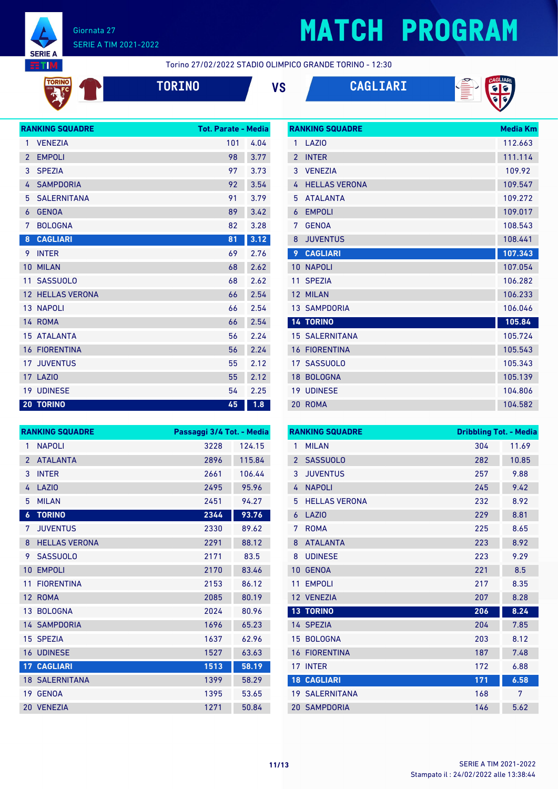

TORINO

#### Giornata 27 SERIE A TIM 2021-2022

## **MATCH PROGRAM**

Torino 27/02/2022 STADIO OLIMPICO GRANDE TORINO - 12:30



**TORINO VS CAGLIARI**

**RANKING SQUADRE Media Km**



|                | <b>RANKING SQUADRE</b>  | Tot. Parate - Media |      |
|----------------|-------------------------|---------------------|------|
| 1              | <b>VENEZIA</b>          | 101                 | 4.04 |
| $\overline{2}$ | <b>EMPOLI</b>           | 98                  | 3.77 |
| 3              | <b>SPEZIA</b>           | 97                  | 3.73 |
| 4              | <b>SAMPDORIA</b>        | 92                  | 3.54 |
| 5              | <b>SALERNITANA</b>      | 91                  | 3.79 |
| 6              | <b>GENOA</b>            | 89                  | 3.42 |
| 7              | <b>BOLOGNA</b>          | 82                  | 3.28 |
| 8              | <b>CAGLIARI</b>         | 81                  | 3.12 |
| 9              | <b>INTER</b>            | 69                  | 2.76 |
| 10             | <b>MILAN</b>            | 68                  | 2.62 |
| 11             | <b>SASSUOLO</b>         | 68                  | 2.62 |
|                | <b>12 HELLAS VERONA</b> | 66                  | 2.54 |
|                | 13 NAPOLI               | 66                  | 2.54 |
|                | 14 ROMA                 | 66                  | 2.54 |
|                | <b>15 ATALANTA</b>      | 56                  | 2.24 |
|                | <b>16 FIORENTINA</b>    | 56                  | 2.24 |
| 17             | <b>JUVENTUS</b>         | 55                  | 2.12 |
|                | 17 LAZIO                | 55                  | 2.12 |
|                | <b>19 UDINESE</b>       | 54                  | 2.25 |
|                | <b>20 TORINO</b>        | 45                  | 1.8  |

|                 | NAINNINU JUUAUNE      | ויורח מושטויו |
|-----------------|-----------------------|---------------|
| 1               | LAZIO                 | 112.663       |
| $\overline{2}$  | <b>INTER</b>          | 111.114       |
| 3               | <b>VENEZIA</b>        | 109.92        |
| 4               | <b>HELLAS VERONA</b>  | 109.547       |
| 5               | <b>ATALANTA</b>       | 109.272       |
| 6               | <b>EMPOLI</b>         | 109.017       |
| 7               | <b>GENOA</b>          | 108.543       |
| 8               | <b>JUVENTUS</b>       | 108.441       |
| 9               | <b>CAGLIARI</b>       | 107.343       |
| 10 <sup>°</sup> | <b>NAPOLI</b>         | 107.054       |
| 11              | <b>SPEZIA</b>         | 106.282       |
|                 | 12 MILAN              | 106.233       |
|                 | <b>13 SAMPDORIA</b>   | 106.046       |
|                 | <b>14 TORINO</b>      | 105.84        |
|                 | <b>15 SALERNITANA</b> | 105.724       |
| 16              | <b>FIORENTINA</b>     | 105.543       |
|                 | 17 SASSUOLO           | 105.343       |
| 18              | <b>BOLOGNA</b>        | 105.139       |
|                 | <b>19 UDINESE</b>     | 104.806       |
| 20              | <b>ROMA</b>           | 104.582       |

|                  | <b>RANKING SQUADRE</b> | Passaggi 3/4 Tot. - Media |        |
|------------------|------------------------|---------------------------|--------|
| 1                | <b>NAPOLI</b>          | 3228                      | 124.15 |
| $\mathcal{P}$    | <b>ATALANTA</b>        | 2896                      | 115.84 |
| 3                | <b>INTER</b>           | 2661                      | 106.44 |
| 4                | <b>LAZIO</b>           | 2495                      | 95.96  |
| 5                | <b>MILAN</b>           | 2451                      | 94.27  |
| $\boldsymbol{6}$ | <b>TORINO</b>          | 2344                      | 93.76  |
| 7                | <b>JUVENTUS</b>        | 2330                      | 89.62  |
| 8                | <b>HELLAS VERONA</b>   | 2291                      | 88.12  |
| 9                | <b>SASSUOLO</b>        | 2171                      | 83.5   |
| 10               | <b>EMPOLI</b>          | 2170                      | 83.46  |
| 11               | <b>FIORENTINA</b>      | 2153                      | 86.12  |
| 12               | <b>ROMA</b>            | 2085                      | 80.19  |
| 13               | <b>BOLOGNA</b>         | 2024                      | 80.96  |
|                  | <b>14 SAMPDORIA</b>    | 1696                      | 65.23  |
|                  | 15 SPEZIA              | 1637                      | 62.96  |
| 16               | <b>UDINESE</b>         | 1527                      | 63.63  |
| 17 <sup>2</sup>  | <b>CAGLIARI</b>        | 1513                      | 58.19  |
|                  | <b>18 SALERNITANA</b>  | 1399                      | 58.29  |
| 19               | <b>GENOA</b>           | 1395                      | 53.65  |
|                  | 20 VENEZIA             | 1271                      | 50.84  |

|                | <b>RANKING SQUADRE</b> | <b>Dribbling Tot. - Media</b> |       |
|----------------|------------------------|-------------------------------|-------|
| 1              | <b>MILAN</b>           | 304                           | 11.69 |
| $\overline{2}$ | <b>SASSUOLO</b>        | 282                           | 10.85 |
| 3              | <b>JUVENTUS</b>        | 257                           | 9.88  |
| 4              | <b>NAPOLI</b>          | 245                           | 9.42  |
| 5              | <b>HELLAS VERONA</b>   | 232                           | 8.92  |
| 6              | LAZIO                  | 229                           | 8.81  |
| 7              | <b>ROMA</b>            | 225                           | 8.65  |
| 8              | <b>ATALANTA</b>        | 223                           | 8.92  |
| 8              | <b>UDINESE</b>         | 223                           | 9.29  |
| 10             | <b>GENOA</b>           | 221                           | 8.5   |
| 11             | <b>EMPOLI</b>          | 217                           | 8.35  |
| 12             | <b>VENEZIA</b>         | 207                           | 8.28  |
|                | <b>13 TORINO</b>       | 206                           | 8.24  |
|                | 14 SPEZIA              | 204                           | 7.85  |
| 15             | <b>BOLOGNA</b>         | 203                           | 8.12  |
| 16             | <b>FIORENTINA</b>      | 187                           | 7.48  |
| 17             | <b>INTER</b>           | 172                           | 6.88  |
|                | <b>18 CAGLIARI</b>     | 171                           | 6.58  |
|                | <b>19 SALERNITANA</b>  | 168                           | 7     |
|                | <b>20 SAMPDORIA</b>    | 146                           | 5.62  |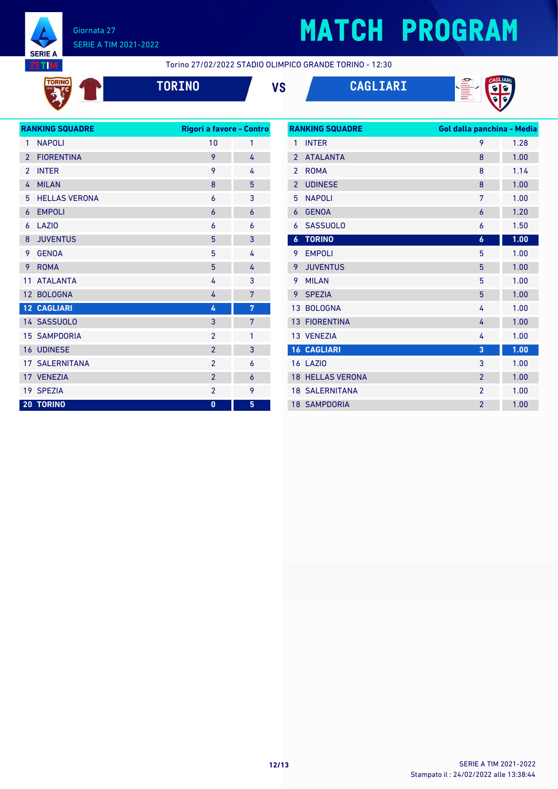

TORINO

#### Giornata 27 SERIE A TIM 2021-2022

# **MATCH PROGRAM**

Torino 27/02/2022 STADIO OLIMPICO GRANDE TORINO - 12:30

| the contract of the contract of the contract of the contract of the contract of |  |
|---------------------------------------------------------------------------------|--|
|                                                                                 |  |
|                                                                                 |  |
|                                                                                 |  |
|                                                                                 |  |
|                                                                                 |  |
|                                                                                 |  |
|                                                                                 |  |





| <b>RANKING SQUADRE</b> |                       | Rigori a favore - Contro |   |  |
|------------------------|-----------------------|--------------------------|---|--|
| 1                      | <b>NAPOLI</b>         | 10                       | 1 |  |
| $\overline{2}$         | <b>FIORENTINA</b>     | 9                        | 4 |  |
| $\overline{2}$         | <b>INTER</b>          | 9                        | 4 |  |
| 4                      | <b>MILAN</b>          | 8                        | 5 |  |
| 5                      | <b>HELLAS VERONA</b>  | 6                        | 3 |  |
| 6                      | <b>EMPOLI</b>         | $\overline{6}$           | 6 |  |
| 6                      | LAZIO                 | 6                        | 6 |  |
| 8                      | <b>JUVENTUS</b>       | 5                        | 3 |  |
| 9                      | <b>GENOA</b>          | 5                        | 4 |  |
| 9                      | <b>ROMA</b>           | 5                        | 4 |  |
| 11                     | <b>ATALANTA</b>       | 4                        | 3 |  |
| 12                     | <b>BOLOGNA</b>        | 4                        | 7 |  |
|                        | <b>12 CAGLIARI</b>    | 4                        | 7 |  |
|                        | 14 SASSUOLO           | 3                        | 7 |  |
|                        | <b>15 SAMPDORIA</b>   | $\overline{2}$           | 1 |  |
|                        | 16 UDINESE            | $\overline{2}$           | 3 |  |
|                        | <b>17 SALERNITANA</b> | $\overline{2}$           | 6 |  |
|                        | 17 VENEZIA            | $\overline{2}$           | 6 |  |
|                        | 19 SPEZIA             | $\overline{2}$           | 9 |  |
|                        | <b>20 TORINO</b>      | $\mathbf{0}$             | 5 |  |
|                        |                       |                          |   |  |

| <b>RANKING SQUADRE</b> |                         | Gol dalla panchina - Media |      |  |
|------------------------|-------------------------|----------------------------|------|--|
| 1                      | <b>INTER</b>            | 9                          | 1.28 |  |
| $\overline{2}$         | <b>ATALANTA</b>         | 8                          | 1.00 |  |
| $\overline{2}$         | <b>ROMA</b>             | 8                          | 1.14 |  |
| $\overline{2}$         | <b>UDINESE</b>          | 8                          | 1.00 |  |
| 5                      | <b>NAPOLI</b>           | 7                          | 1.00 |  |
| 6                      | <b>GENOA</b>            | $\overline{6}$             | 1.20 |  |
| 6                      | <b>SASSUOLO</b>         | 6                          | 1.50 |  |
| $\boldsymbol{6}$       | <b>TORINO</b>           | $\boldsymbol{6}$           | 1.00 |  |
| 9                      | <b>EMPOLI</b>           | 5                          | 1.00 |  |
| 9                      | <b>JUVENTUS</b>         | 5                          | 1.00 |  |
| 9                      | <b>MILAN</b>            | 5                          | 1.00 |  |
| 9                      | <b>SPEZIA</b>           | 5                          | 1.00 |  |
| 13                     | <b>BOLOGNA</b>          | 4                          | 1.00 |  |
| 13                     | <b>FIORENTINA</b>       | 4                          | 1.00 |  |
|                        | 13 VENEZIA              | 4                          | 1.00 |  |
|                        | <b>16 CAGLIARI</b>      | 3                          | 1.00 |  |
|                        | <b>16 LAZIO</b>         | 3                          | 1.00 |  |
|                        | <b>18 HELLAS VERONA</b> | $\overline{2}$             | 1.00 |  |
|                        | <b>18 SALERNITANA</b>   | $\overline{2}$             | 1.00 |  |
|                        | <b>18 SAMPDORIA</b>     | $\overline{2}$             | 1.00 |  |